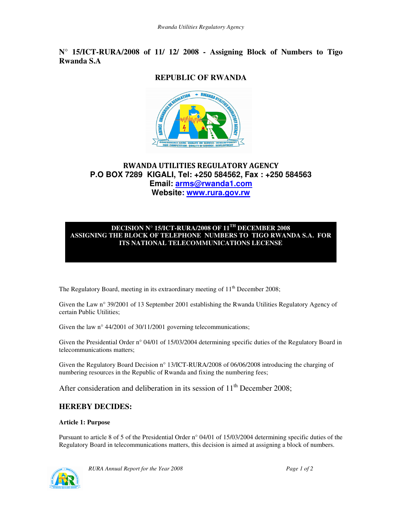## **N° 15/ICT-RURA/2008 of 11/ 12/ 2008 - Assigning Block of Numbers to Tigo Rwanda S.A**

# **REPUBLIC OF RWANDA**



## RWANDA UTILITIES REGULATORY AGENCY **P.O BOX 7289 KIGALI, Tel: +250 584562, Fax : +250 584563 Email: arms@rwanda1.com Website: www.rura.gov.rw**

#### **DECISION N° 15/ICT-RURA/2008 OF 11TH DECEMBER 2008 ASSIGNING THE BLOCK OF TELEPHONE NUMBERS TO TIGO RWANDA S.A. FOR ITS NATIONAL TELECOMMUNICATIONS LECENSE**

The Regulatory Board, meeting in its extraordinary meeting of  $11<sup>th</sup>$  December 2008;

Given the Law n° 39/2001 of 13 September 2001 establishing the Rwanda Utilities Regulatory Agency of certain Public Utilities;

Given the law n° 44/2001 of 30/11/2001 governing telecommunications;

Given the Presidential Order n° 04/01 of 15/03/2004 determining specific duties of the Regulatory Board in telecommunications matters;

Given the Regulatory Board Decision n° 13/ICT-RURA/2008 of 06/06/2008 introducing the charging of numbering resources in the Republic of Rwanda and fixing the numbering fees;

After consideration and deliberation in its session of  $11<sup>th</sup>$  December 2008;

## **HEREBY DECIDES:**

### **Article 1: Purpose**

Pursuant to article 8 of 5 of the Presidential Order n° 04/01 of 15/03/2004 determining specific duties of the Regulatory Board in telecommunications matters, this decision is aimed at assigning a block of numbers.



*RURA Annual Report for the Year 2008 Page 1 of 2*